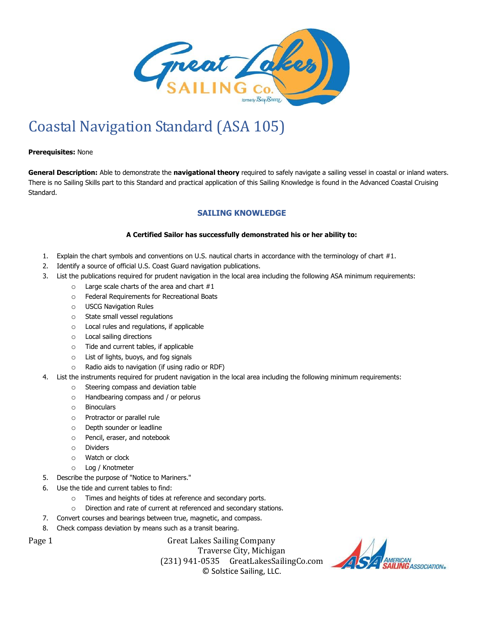

## Coastal Navigation Standard (ASA 105)

## **Prerequisites:** None

**General Description:** Able to demonstrate the **navigational theory** required to safely navigate a sailing vessel in coastal or inland waters. There is no Sailing Skills part to this Standard and practical application of this Sailing Knowledge is found in the Advanced Coastal Cruising Standard.

## **SAILING KNOWLEDGE**

## **A Certified Sailor has successfully demonstrated his or her ability to:**

- 1. Explain the chart symbols and conventions on U.S. nautical charts in accordance with the terminology of chart #1.
- 2. Identify a source of official U.S. Coast Guard navigation publications.
- 3. List the publications required for prudent navigation in the local area including the following ASA minimum requirements:
	- $\circ$  Large scale charts of the area and chart  $#1$
	- o Federal Requirements for Recreational Boats
	- o USCG Navigation Rules
	- o State small vessel regulations
	- o Local rules and regulations, if applicable
	- o Local sailing directions
	- o Tide and current tables, if applicable
	- o List of lights, buoys, and fog signals
	- o Radio aids to navigation (if using radio or RDF)
- 4. List the instruments required for prudent navigation in the local area including the following minimum requirements:
	- o Steering compass and deviation table
	- o Handbearing compass and / or pelorus
	- o Binoculars
	- o Protractor or parallel rule
	- o Depth sounder or leadline
	- o Pencil, eraser, and notebook
	- o Dividers
	- o Watch or clock
	- o Log / Knotmeter
- 5. Describe the purpose of "Notice to Mariners."
- 6. Use the tide and current tables to find:
	- o Times and heights of tides at reference and secondary ports.
	- o Direction and rate of current at referenced and secondary stations.
- 7. Convert courses and bearings between true, magnetic, and compass.
- 8. Check compass deviation by means such as a transit bearing.

Page 1 Great Lakes Sailing Company Traverse City, Michigan (231) 941-0535 GreatLakesSailingCo.com © Solstice Sailing, LLC.